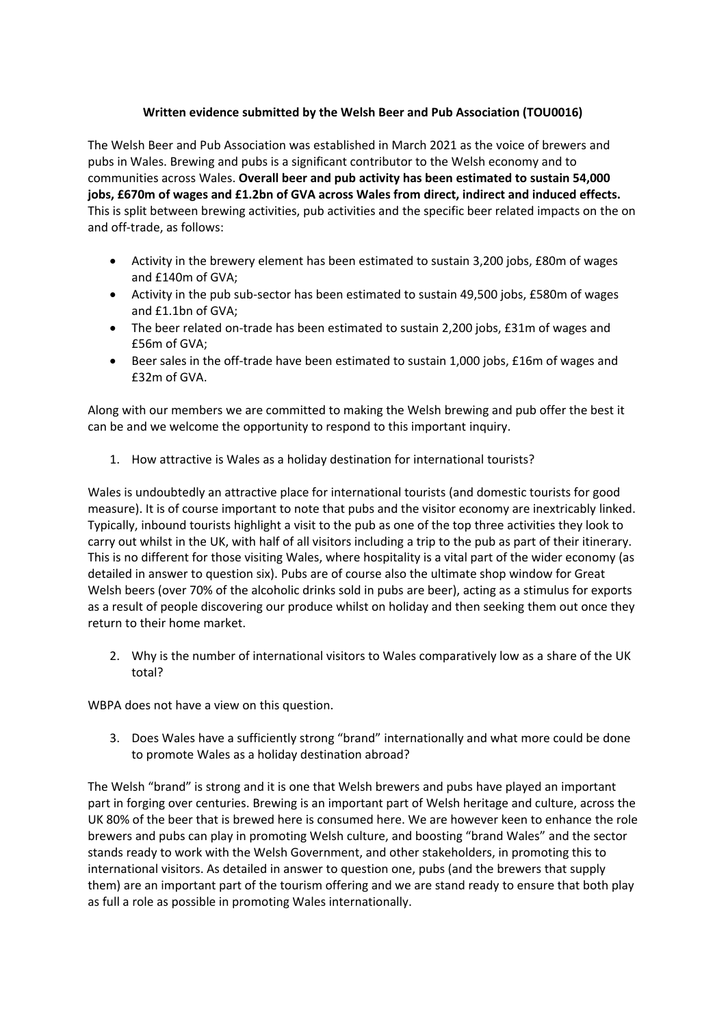## **Written evidence submitted by the Welsh Beer and Pub Association (TOU0016)**

The Welsh Beer and Pub Association was established in March 2021 as the voice of brewers and pubs in Wales. Brewing and pubs is a significant contributor to the Welsh economy and to communities across Wales. **Overall beer and pub activity has been estimated to sustain 54,000 jobs, £670m of wages and £1.2bn of GVA across Wales from direct, indirect and induced effects.** This is split between brewing activities, pub activities and the specific beer related impacts on the on and off-trade, as follows:

- Activity in the brewery element has been estimated to sustain 3,200 jobs, £80m of wages and £140m of GVA;
- Activity in the pub sub-sector has been estimated to sustain 49,500 jobs, £580m of wages and £1.1bn of GVA;
- The beer related on-trade has been estimated to sustain 2,200 jobs, £31m of wages and £56m of GVA;
- Beer sales in the off-trade have been estimated to sustain 1,000 jobs, £16m of wages and £32m of GVA.

Along with our members we are committed to making the Welsh brewing and pub offer the best it can be and we welcome the opportunity to respond to this important inquiry.

1. How attractive is Wales as a holiday destination for international tourists?

Wales is undoubtedly an attractive place for international tourists (and domestic tourists for good measure). It is of course important to note that pubs and the visitor economy are inextricably linked. Typically, inbound tourists highlight a visit to the pub as one of the top three activities they look to carry out whilst in the UK, with half of all visitors including a trip to the pub as part of their itinerary. This is no different for those visiting Wales, where hospitality is a vital part of the wider economy (as detailed in answer to question six). Pubs are of course also the ultimate shop window for Great Welsh beers (over 70% of the alcoholic drinks sold in pubs are beer), acting as a stimulus for exports as a result of people discovering our produce whilst on holiday and then seeking them out once they return to their home market.

2. Why is the number of international visitors to Wales comparatively low as a share of the UK total?

WBPA does not have a view on this question.

3. Does Wales have a sufficiently strong "brand" internationally and what more could be done to promote Wales as a holiday destination abroad?

The Welsh "brand" is strong and it is one that Welsh brewers and pubs have played an important part in forging over centuries. Brewing is an important part of Welsh heritage and culture, across the UK 80% of the beer that is brewed here is consumed here. We are however keen to enhance the role brewers and pubs can play in promoting Welsh culture, and boosting "brand Wales" and the sector stands ready to work with the Welsh Government, and other stakeholders, in promoting this to international visitors. As detailed in answer to question one, pubs (and the brewers that supply them) are an important part of the tourism offering and we are stand ready to ensure that both play as full a role as possible in promoting Wales internationally.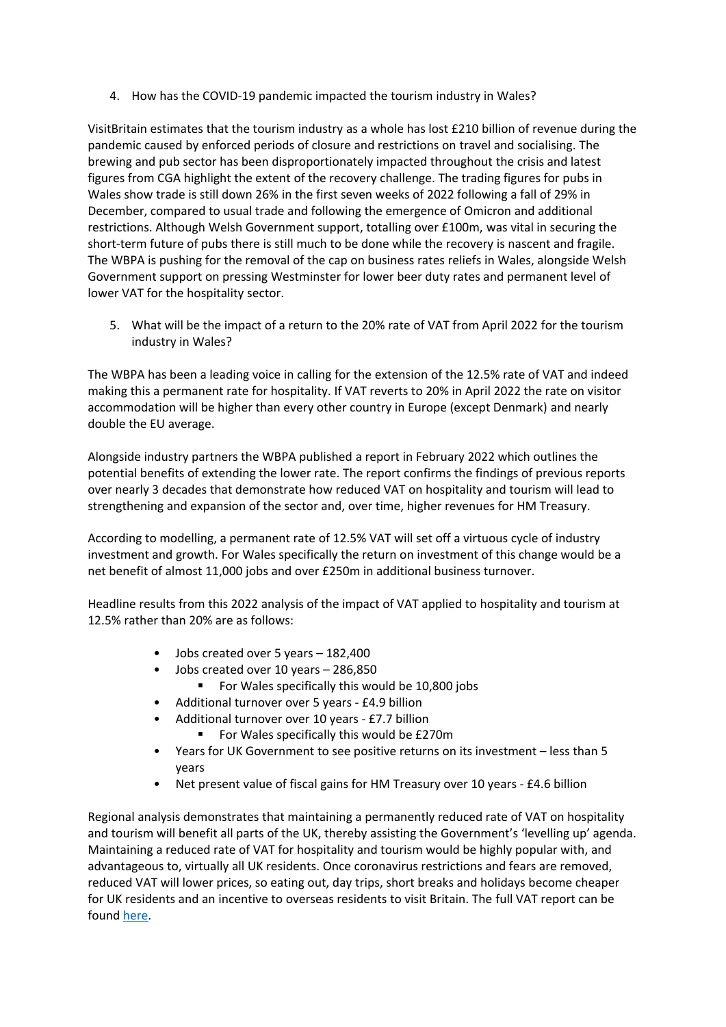4. How has the COVID-19 pandemic impacted the tourism industry in Wales?

VisitBritain estimates that the tourism industry as a whole has lost £210 billion of revenue during the pandemic caused by enforced periods of closure and restrictions on travel and socialising. The brewing and pub sector has been disproportionately impacted throughout the crisis and latest figures from CGA highlight the extent of the recovery challenge. The trading figures for pubs in Wales show trade is still down 26% in the first seven weeks of 2022 following a fall of 29% in December, compared to usual trade and following the emergence of Omicron and additional restrictions. Although Welsh Government support, totalling over £100m, was vital in securing the short-term future of pubs there is still much to be done while the recovery is nascent and fragile. The WBPA is pushing for the removal of the cap on business rates reliefs in Wales, alongside Welsh Government support on pressing Westminster for lower beer duty rates and permanent level of lower VAT for the hospitality sector.

5. What will be the impact of a return to the 20% rate of VAT from April 2022 for the tourism industry in Wales?

The WBPA has been a leading voice in calling for the extension of the 12.5% rate of VAT and indeed making this a permanent rate for hospitality. If VAT reverts to 20% in April 2022 the rate on visitor accommodation will be higher than every other country in Europe (except Denmark) and nearly double the EU average.

Alongside industry partners the WBPA published a report in February 2022 which outlines the potential benefits of extending the lower rate. The report confirms the findings of previous reports over nearly 3 decades that demonstrate how reduced VAT on hospitality and tourism will lead to strengthening and expansion of the sector and, over time, higher revenues for HM Treasury.

According to modelling, a permanent rate of 12.5% VAT will set off a virtuous cycle of industry investment and growth. For Wales specifically the return on investment of this change would be a net benefit of almost 11,000 jobs and over £250m in additional business turnover.

Headline results from this 2022 analysis of the impact of VAT applied to hospitality and tourism at 12.5% rather than 20% are as follows:

- Jobs created over 5 years 182,400
- Jobs created over 10 years 286,850
	- For Wales specifically this would be 10,800 jobs
- Additional turnover over 5 years £4.9 billion
- Additional turnover over 10 years £7.7 billion
	- For Wales specifically this would be £270m
- Years for UK Government to see positive returns on its investment less than 5 years
- Net present value of fiscal gains for HM Treasury over 10 years £4.6 billion

Regional analysis demonstrates that maintaining a permanently reduced rate of VAT on hospitality and tourism will benefit all parts of the UK, thereby assisting the Government's 'levelling up' agenda. Maintaining a reduced rate of VAT for hospitality and tourism would be highly popular with, and advantageous to, virtually all UK residents. Once coronavirus restrictions and fears are removed, reduced VAT will lower prices, so eating out, day trips, short breaks and holidays become cheaper for UK residents and an incentive to overseas residents to visit Britain. The full VAT report can be found [here.](https://beerandpub.com/wp-content/uploads/2022/02/The-Impact-of-Reduced-VAT-on-UK-Hospitality-Tourism-SUMMARY-REPORT-February-2022.pdf)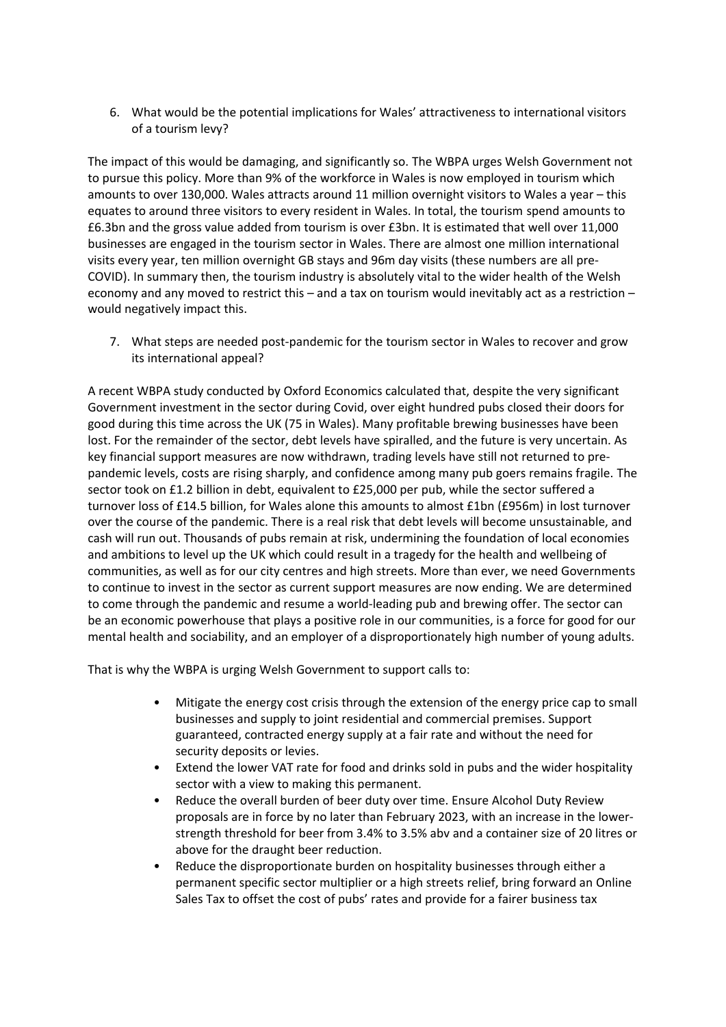6. What would be the potential implications for Wales' attractiveness to international visitors of a tourism levy?

The impact of this would be damaging, and significantly so. The WBPA urges Welsh Government not to pursue this policy. More than 9% of the workforce in Wales is now employed in tourism which amounts to over 130,000. Wales attracts around 11 million overnight visitors to Wales a year – this equates to around three visitors to every resident in Wales. In total, the tourism spend amounts to £6.3bn and the gross value added from tourism is over £3bn. It is estimated that well over 11,000 businesses are engaged in the tourism sector in Wales. There are almost one million international visits every year, ten million overnight GB stays and 96m day visits (these numbers are all pre-COVID). In summary then, the tourism industry is absolutely vital to the wider health of the Welsh economy and any moved to restrict this – and a tax on tourism would inevitably act as a restriction – would negatively impact this.

7. What steps are needed post-pandemic for the tourism sector in Wales to recover and grow its international appeal?

A recent WBPA study conducted by Oxford Economics calculated that, despite the very significant Government investment in the sector during Covid, over eight hundred pubs closed their doors for good during this time across the UK (75 in Wales). Many profitable brewing businesses have been lost. For the remainder of the sector, debt levels have spiralled, and the future is very uncertain. As key financial support measures are now withdrawn, trading levels have still not returned to prepandemic levels, costs are rising sharply, and confidence among many pub goers remains fragile. The sector took on £1.2 billion in debt, equivalent to £25,000 per pub, while the sector suffered a turnover loss of £14.5 billion, for Wales alone this amounts to almost £1bn (£956m) in lost turnover over the course of the pandemic. There is a real risk that debt levels will become unsustainable, and cash will run out. Thousands of pubs remain at risk, undermining the foundation of local economies and ambitions to level up the UK which could result in a tragedy for the health and wellbeing of communities, as well as for our city centres and high streets. More than ever, we need Governments to continue to invest in the sector as current support measures are now ending. We are determined to come through the pandemic and resume a world-leading pub and brewing offer. The sector can be an economic powerhouse that plays a positive role in our communities, is a force for good for our mental health and sociability, and an employer of a disproportionately high number of young adults.

That is why the WBPA is urging Welsh Government to support calls to:

- Mitigate the energy cost crisis through the extension of the energy price cap to small businesses and supply to joint residential and commercial premises. Support guaranteed, contracted energy supply at a fair rate and without the need for security deposits or levies.
- Extend the lower VAT rate for food and drinks sold in pubs and the wider hospitality sector with a view to making this permanent.
- Reduce the overall burden of beer duty over time. Ensure Alcohol Duty Review proposals are in force by no later than February 2023, with an increase in the lowerstrength threshold for beer from 3.4% to 3.5% abv and a container size of 20 litres or above for the draught beer reduction.
- Reduce the disproportionate burden on hospitality businesses through either a permanent specific sector multiplier or a high streets relief, bring forward an Online Sales Tax to offset the cost of pubs' rates and provide for a fairer business tax